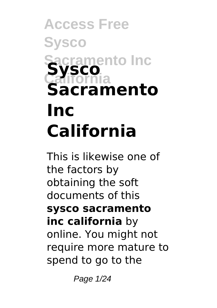# **Access Free Sysco Sacramento Inc California Sysco Sacramento Inc California**

This is likewise one of the factors by obtaining the soft documents of this **sysco sacramento inc california** by online. You might not require more mature to spend to go to the

Page 1/24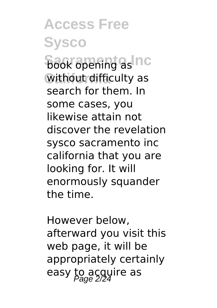**Access Free Sysco Book opening as Inc. California** without difficulty as search for them. In some cases, you likewise attain not discover the revelation sysco sacramento inc california that you are looking for. It will enormously squander the time.

However below, afterward you visit this web page, it will be appropriately certainly easy to acgyire as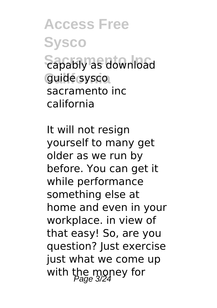**Access Free Sysco Sapably as download California** guide sysco sacramento inc california

It will not resign yourself to many get older as we run by before. You can get it while performance something else at home and even in your workplace. in view of that easy! So, are you question? Just exercise just what we come up with the money for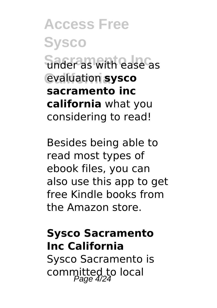**Access Free Sysco Sacramento Inc** under as with ease as **California** evaluation **sysco sacramento inc california** what you considering to read!

Besides being able to read most types of ebook files, you can also use this app to get free Kindle books from the Amazon store.

#### **Sysco Sacramento Inc California**

Sysco Sacramento is committed to local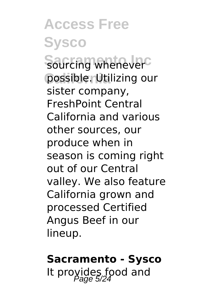**Access Free Sysco Sourcing whenever** possible. Utilizing our sister company, FreshPoint Central California and various other sources, our produce when in season is coming right out of our Central valley. We also feature California grown and processed Certified Angus Beef in our lineup.

#### **Sacramento - Sysco**

It provides food and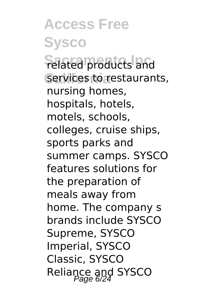**Access Free Sysco Felated products and** services to restaurants, nursing homes, hospitals, hotels, motels, schools, colleges, cruise ships, sports parks and summer camps. SYSCO features solutions for the preparation of meals away from home. The company s brands include SYSCO Supreme, SYSCO Imperial, SYSCO Classic, SYSCO Reliance and SYSCO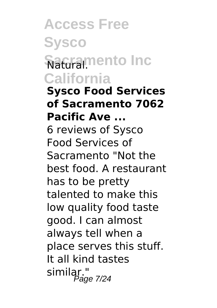## **Access Free Sysco Saturarmento Inc California**

**Sysco Food Services of Sacramento 7062 Pacific Ave ...** 6 reviews of Sysco Food Services of Sacramento "Not the best food. A restaurant has to be pretty talented to make this low quality food taste good. I can almost always tell when a place serves this stuff. It all kind tastes similar."<br>Page 7/24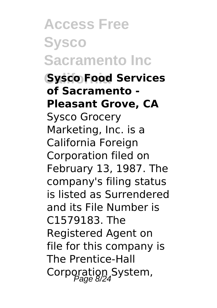**Access Free Sysco Sacramento Inc California Sysco Food Services of Sacramento - Pleasant Grove, CA** Sysco Grocery Marketing, Inc. is a California Foreign Corporation filed on February 13, 1987. The company's filing status is listed as Surrendered and its File Number is C1579183. The Registered Agent on file for this company is The Prentice-Hall Corporation System,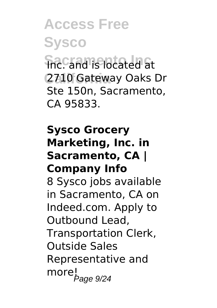**Access Free Sysco Sacramento Inc** Inc. and is located at **California** 2710 Gateway Oaks Dr Ste 150n, Sacramento, CA 95833.

#### **Sysco Grocery Marketing, Inc. in Sacramento, CA | Company Info**

8 Sysco jobs available in Sacramento, CA on Indeed.com. Apply to Outbound Lead, Transportation Clerk, Outside Sales Representative and morel<sub>page 9/24</sub>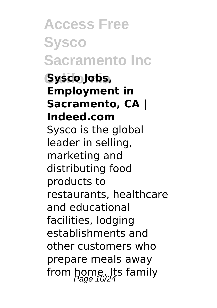**Access Free Sysco Sacramento Inc California Sysco Jobs, Employment in Sacramento, CA | Indeed.com** Sysco is the global leader in selling, marketing and distributing food products to restaurants, healthcare and educational facilities, lodging establishments and other customers who prepare meals away from home. Its family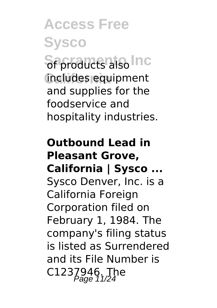**Access Free Sysco Sf** products also Inc **California** includes equipment and supplies for the foodservice and hospitality industries.

### **Outbound Lead in Pleasant Grove, California | Sysco ...** Sysco Denver, Inc. is a California Foreign Corporation filed on February 1, 1984. The company's filing status is listed as Surrendered and its File Number is C1237946. The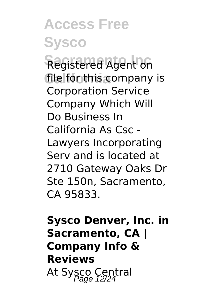**Access Free Sysco Registered Agent on** file fon this company is Corporation Service Company Which Will Do Business In California As Csc - Lawyers Incorporating Serv and is located at 2710 Gateway Oaks Dr Ste 150n, Sacramento, CA 95833.

### **Sysco Denver, Inc. in Sacramento, CA | Company Info & Reviews** At Sysco Central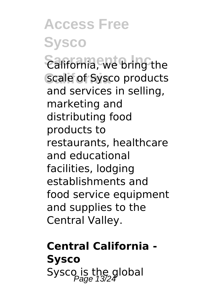**Access Free Sysco**  $\widehat{\mathsf{Califomial}}$ , we bring the scale of Sysco products and services in selling, marketing and distributing food products to restaurants, healthcare and educational facilities, lodging establishments and food service equipment and supplies to the Central Valley.

**Central California - Sysco** Sysco is the global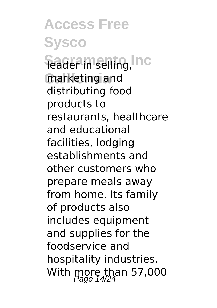**Access Free Sysco Feader in selling, Inc. California** marketing and distributing food products to restaurants, healthcare and educational facilities, lodging establishments and other customers who prepare meals away from home. Its family of products also includes equipment and supplies for the foodservice and hospitality industries. With more than 57,000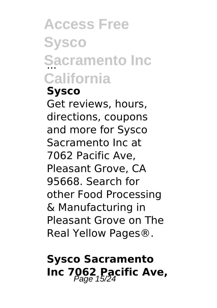# **Access Free Sysco** Sacramento Inc **California**

### **Sysco**

Get reviews, hours, directions, coupons and more for Sysco Sacramento Inc at 7062 Pacific Ave, Pleasant Grove, CA 95668. Search for other Food Processing & Manufacturing in Pleasant Grove on The Real Yellow Pages®.

### **Sysco Sacramento** Inc 7062 Pacific Ave,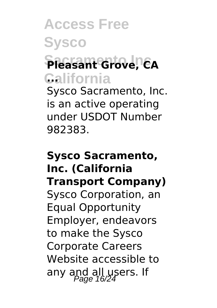## **Access Free Sysco Sacramento Inc Pleasant Grove, CA California ...** Sysco Sacramento, Inc.

is an active operating under USDOT Number 982383.

### **Sysco Sacramento, Inc. (California Transport Company)** Sysco Corporation, an Equal Opportunity Employer, endeavors to make the Sysco Corporate Careers Website accessible to any and all users. If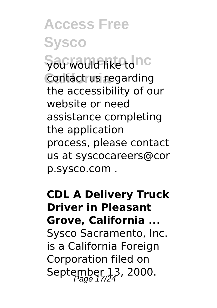**Access Free Sysco** Sacwould like tonc **Contact us regarding** the accessibility of our website or need assistance completing the application process, please contact us at syscocareers@cor p.sysco.com .

**CDL A Delivery Truck Driver in Pleasant Grove, California ...** Sysco Sacramento, Inc. is a California Foreign Corporation filed on September 13, 2000.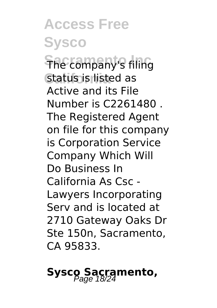**Access Free Sysco The company's filing California** status is listed as Active and its File Number is C2261480 . The Registered Agent on file for this company is Corporation Service Company Which Will Do Business In California As Csc - Lawyers Incorporating Serv and is located at 2710 Gateway Oaks Dr Ste 150n, Sacramento, CA 95833.

## **Sysco Sacramento,**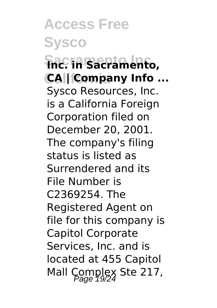**Access Free Sysco Sacramento Inc Inc. in Sacramento, CA | Company Info ...** Sysco Resources, Inc. is a California Foreign Corporation filed on December 20, 2001. The company's filing status is listed as Surrendered and its File Number is C2369254. The Registered Agent on file for this company is Capitol Corporate Services, Inc. and is located at 455 Capitol Mall Complex Ste 217,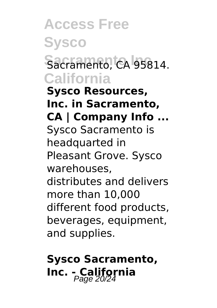### **Access Free Sysco** Sacramento, CA 95814. **California Sysco Resources, Inc. in Sacramento, CA | Company Info ...** Sysco Sacramento is headquarted in Pleasant Grove. Sysco warehouses, distributes and delivers more than 10,000 different food products, beverages, equipment,

and supplies.

## **Sysco Sacramento, Inc. - California**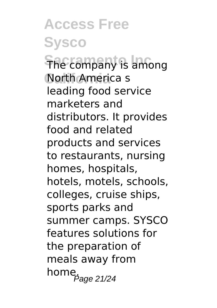**Access Free Sysco The company is among California** North America s leading food service marketers and distributors. It provides food and related products and services to restaurants, nursing homes, hospitals, hotels, motels, schools, colleges, cruise ships, sports parks and summer camps. SYSCO features solutions for the preparation of meals away from home $P_{\text{age 21/24}}$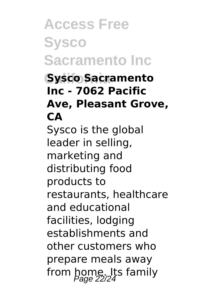## **Access Free Sysco Sacramento Inc**

### **California Sysco Sacramento Inc - 7062 Pacific Ave, Pleasant Grove, CA**

Sysco is the global leader in selling, marketing and distributing food products to restaurants, healthcare and educational facilities, lodging establishments and other customers who prepare meals away from home. Its family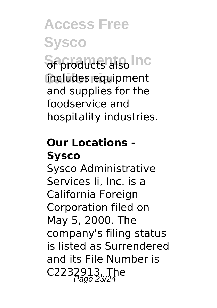**Access Free Sysco Sf** products also Inc **California** includes equipment and supplies for the foodservice and hospitality industries.

### **Our Locations - Sysco**

Sysco Administrative Services Ii, Inc. is a California Foreign Corporation filed on May 5, 2000. The company's filing status is listed as Surrendered and its File Number is C2232913. The